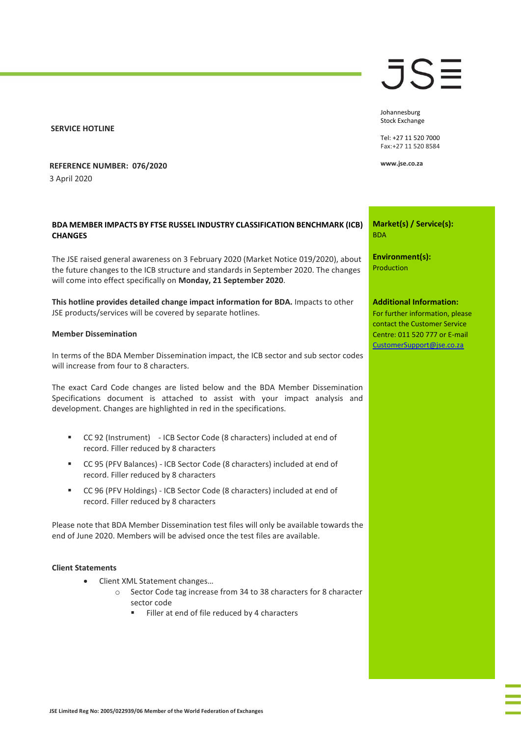### **SERVICE HOTLINE**

## **REFERENCE NUMBER: 076/2020** 3 April 2020

# **BDA MEMBER IMPACTS BY FTSE RUSSEL INDUSTRY CLASSIFICATION BENCHMARK (ICB) CHANGES**

The JSE raised general awareness on 3 February 2020 (Market Notice 019/2020), about the future changes to the ICB structure and standards in September 2020. The changes will come into effect specifically on **Monday, 21 September 2020**.

**This hotline provides detailed change impact information for BDA.** Impacts to other JSE products/services will be covered by separate hotlines.

### **Member Dissemination**

In terms of the BDA Member Dissemination impact, the ICB sector and sub sector codes will increase from four to 8 characters.

The exact Card Code changes are listed below and the BDA Member Dissemination Specifications document is attached to assist with your impact analysis and development. Changes are highlighted in red in the specifications.

- CC 92 (Instrument) ICB Sector Code (8 characters) included at end of record. Filler reduced by 8 characters
- CC 95 (PFV Balances) ICB Sector Code (8 characters) included at end of record. Filler reduced by 8 characters
- CC 96 (PFV Holdings) ICB Sector Code (8 characters) included at end of record. Filler reduced by 8 characters

Please note that BDA Member Dissemination test files will only be available towards the end of June 2020. Members will be advised once the test files are available.

### **Client Statements**

- Client XML Statement changes…
	- o Sector Code tag increase from 34 to 38 characters for 8 character sector code
		- Filler at end of file reduced by 4 characters

# JSE

Johannesburg Stock Exchange

Tel: +27 11 520 7000 Fax:+27 11 520 8584

**www.jse.co.za**

**Market(s) / Service(s):** BDA

**Environment(s):** Production

#### **Additional Information:**

For further information, please contact the Customer Service Centre: 011 520 777 or E-mail [CustomerSupport@jse.co.za](mailto:CustomerSupport@jse.co.za)